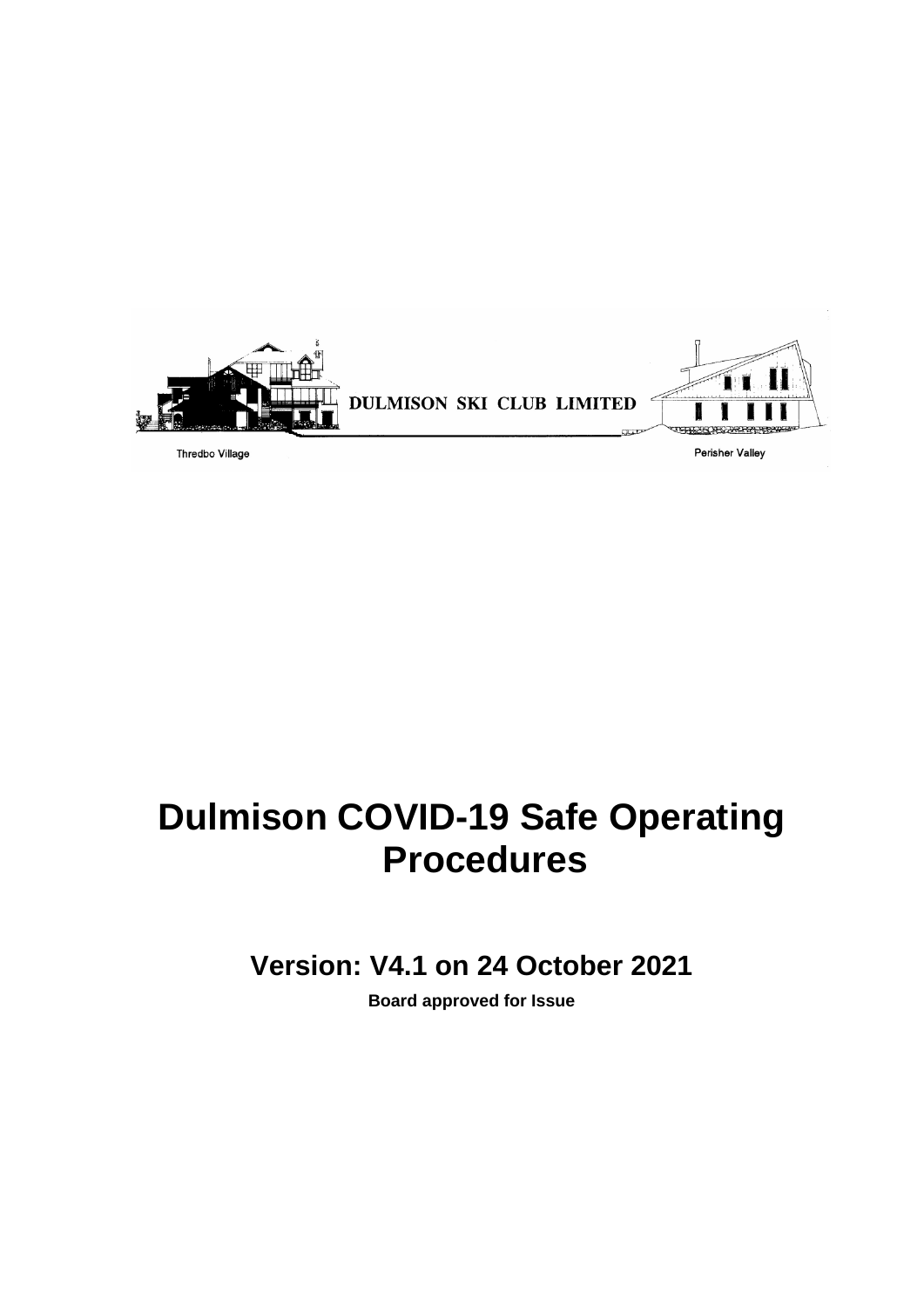

## **Dulmison COVID-19 Safe Operating Procedures**

**Version: V4.1 on 24 October 2021**

**Board approved for Issue**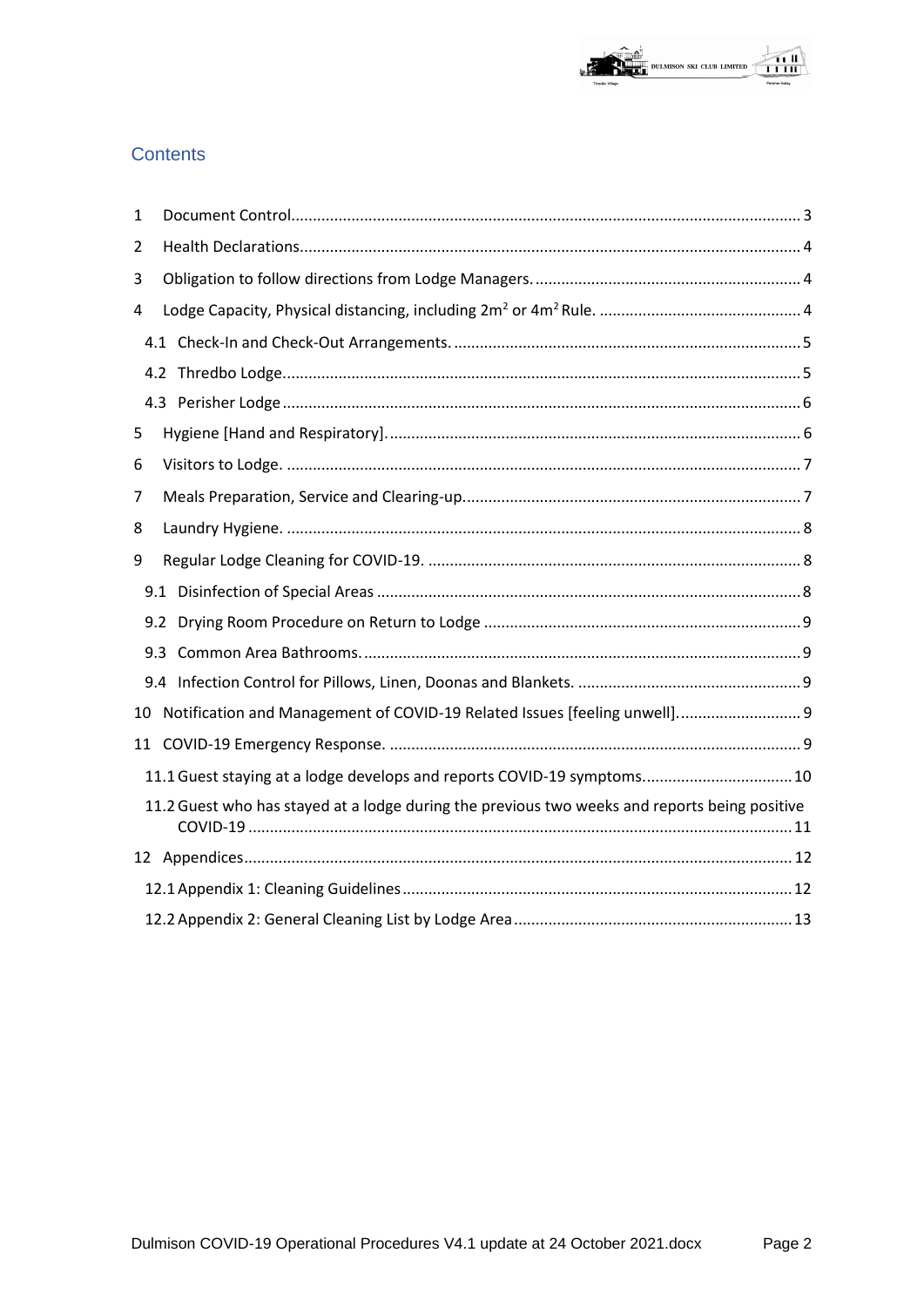# **OF**<br>THE DULMISON SKI CLUB LIMITED

### Contents

| 1                                                                       |     |                                                                                               |  |  |  |
|-------------------------------------------------------------------------|-----|-----------------------------------------------------------------------------------------------|--|--|--|
| 2                                                                       |     |                                                                                               |  |  |  |
| 3                                                                       |     |                                                                                               |  |  |  |
| 4                                                                       |     |                                                                                               |  |  |  |
|                                                                         |     |                                                                                               |  |  |  |
|                                                                         |     |                                                                                               |  |  |  |
|                                                                         |     |                                                                                               |  |  |  |
| 5                                                                       |     |                                                                                               |  |  |  |
| 6                                                                       |     |                                                                                               |  |  |  |
| 7                                                                       |     |                                                                                               |  |  |  |
| 8                                                                       |     |                                                                                               |  |  |  |
| 9                                                                       |     |                                                                                               |  |  |  |
|                                                                         |     |                                                                                               |  |  |  |
|                                                                         | 9.2 |                                                                                               |  |  |  |
|                                                                         | 9.3 |                                                                                               |  |  |  |
|                                                                         |     |                                                                                               |  |  |  |
| 10                                                                      |     | Notification and Management of COVID-19 Related Issues [feeling unwell] 9                     |  |  |  |
| 11                                                                      |     |                                                                                               |  |  |  |
| 11.1 Guest staying at a lodge develops and reports COVID-19 symptoms 10 |     |                                                                                               |  |  |  |
|                                                                         |     | 11.2 Guest who has stayed at a lodge during the previous two weeks and reports being positive |  |  |  |
|                                                                         |     |                                                                                               |  |  |  |
|                                                                         |     |                                                                                               |  |  |  |
|                                                                         |     |                                                                                               |  |  |  |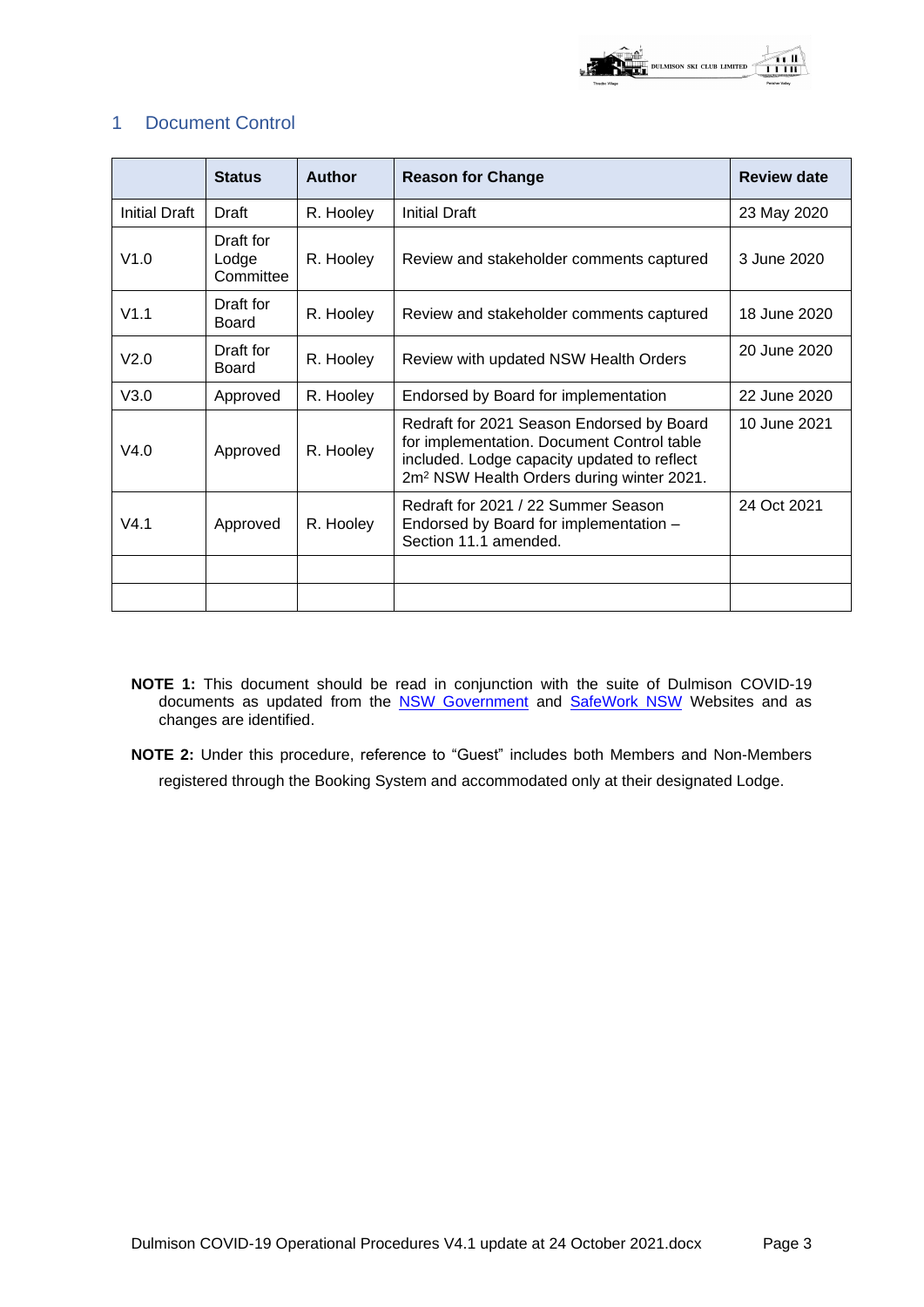

#### 1 Document Control

|                      | <b>Status</b>                   | Author    | <b>Reason for Change</b>                                                                                                                                                                        | <b>Review date</b> |
|----------------------|---------------------------------|-----------|-------------------------------------------------------------------------------------------------------------------------------------------------------------------------------------------------|--------------------|
| <b>Initial Draft</b> | Draft                           | R. Hooley | <b>Initial Draft</b>                                                                                                                                                                            | 23 May 2020        |
| V1.0                 | Draft for<br>Lodge<br>Committee | R. Hooley | Review and stakeholder comments captured                                                                                                                                                        | 3 June 2020        |
| V1.1                 | Draft for<br><b>Board</b>       | R. Hooley | Review and stakeholder comments captured                                                                                                                                                        | 18 June 2020       |
| V <sub>2.0</sub>     | Draft for<br>Board              | R. Hooley | Review with updated NSW Health Orders                                                                                                                                                           | 20 June 2020       |
| V3.0                 | Approved                        | R. Hooley | Endorsed by Board for implementation                                                                                                                                                            | 22 June 2020       |
| V4.0                 | Approved                        | R. Hooley | Redraft for 2021 Season Endorsed by Board<br>for implementation. Document Control table<br>included. Lodge capacity updated to reflect<br>2m <sup>2</sup> NSW Health Orders during winter 2021. | 10 June 2021       |
| V4.1                 | Approved                        | R. Hooley | Redraft for 2021 / 22 Summer Season<br>Endorsed by Board for implementation -<br>Section 11.1 amended.                                                                                          | 24 Oct 2021        |
|                      |                                 |           |                                                                                                                                                                                                 |                    |
|                      |                                 |           |                                                                                                                                                                                                 |                    |

- **NOTE 1:** This document should be read in conjunction with the suite of Dulmison COVID-19 documents as updated from the [NSW Government](https://www.nsw.gov.au/) and [SafeWork NSW](https://www.safework.nsw.gov.au/home) Websites and as changes are identified.
- **NOTE 2:** Under this procedure, reference to "Guest" includes both Members and Non-Members registered through the Booking System and accommodated only at their designated Lodge.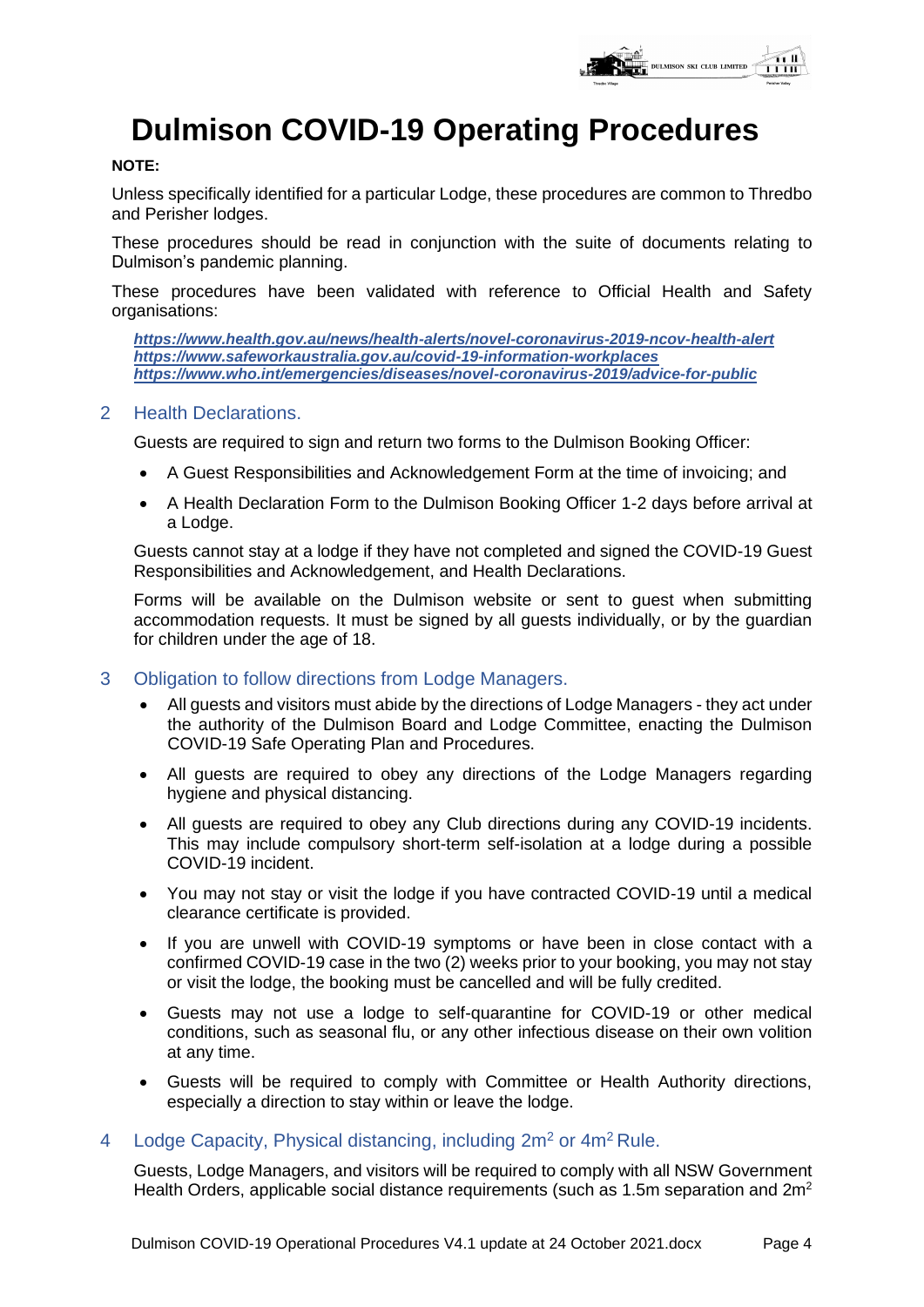

## **Dulmison COVID-19 Operating Procedures**

#### **NOTE:**

Unless specifically identified for a particular Lodge, these procedures are common to Thredbo and Perisher lodges.

These procedures should be read in conjunction with the suite of documents relating to Dulmison's pandemic planning.

These procedures have been validated with reference to Official Health and Safety organisations:

*<https://www.health.gov.au/news/health-alerts/novel-coronavirus-2019-ncov-health-alert> <https://www.safeworkaustralia.gov.au/covid-19-information-workplaces> <https://www.who.int/emergencies/diseases/novel-coronavirus-2019/advice-for-public>*

#### 2 Health Declarations.

Guests are required to sign and return two forms to the Dulmison Booking Officer:

- A Guest Responsibilities and Acknowledgement Form at the time of invoicing; and
- A Health Declaration Form to the Dulmison Booking Officer 1-2 days before arrival at a Lodge.

Guests cannot stay at a lodge if they have not completed and signed the COVID-19 Guest Responsibilities and Acknowledgement, and Health Declarations.

Forms will be available on the Dulmison website or sent to guest when submitting accommodation requests. It must be signed by all guests individually, or by the guardian for children under the age of 18.

- 3 Obligation to follow directions from Lodge Managers.
	- All guests and visitors must abide by the directions of Lodge Managers they act under the authority of the Dulmison Board and Lodge Committee, enacting the Dulmison COVID-19 Safe Operating Plan and Procedures.
	- All quests are required to obey any directions of the Lodge Managers regarding hygiene and physical distancing.
	- All guests are required to obey any Club directions during any COVID-19 incidents. This may include compulsory short-term self-isolation at a lodge during a possible COVID-19 incident.
	- You may not stay or visit the lodge if you have contracted COVID-19 until a medical clearance certificate is provided.
	- If you are unwell with COVID-19 symptoms or have been in close contact with a confirmed COVID-19 case in the two (2) weeks prior to your booking, you may not stay or visit the lodge, the booking must be cancelled and will be fully credited.
	- Guests may not use a lodge to self-quarantine for COVID-19 or other medical conditions, such as seasonal flu, or any other infectious disease on their own volition at any time.
	- Guests will be required to comply with Committee or Health Authority directions, especially a direction to stay within or leave the lodge.
- 4 Lodge Capacity, Physical distancing, including  $2m^2$  or  $4m^2$  Rule.

Guests, Lodge Managers, and visitors will be required to comply with all NSW Government Health Orders, applicable social distance requirements (such as 1.5m separation and 2m<sup>2</sup>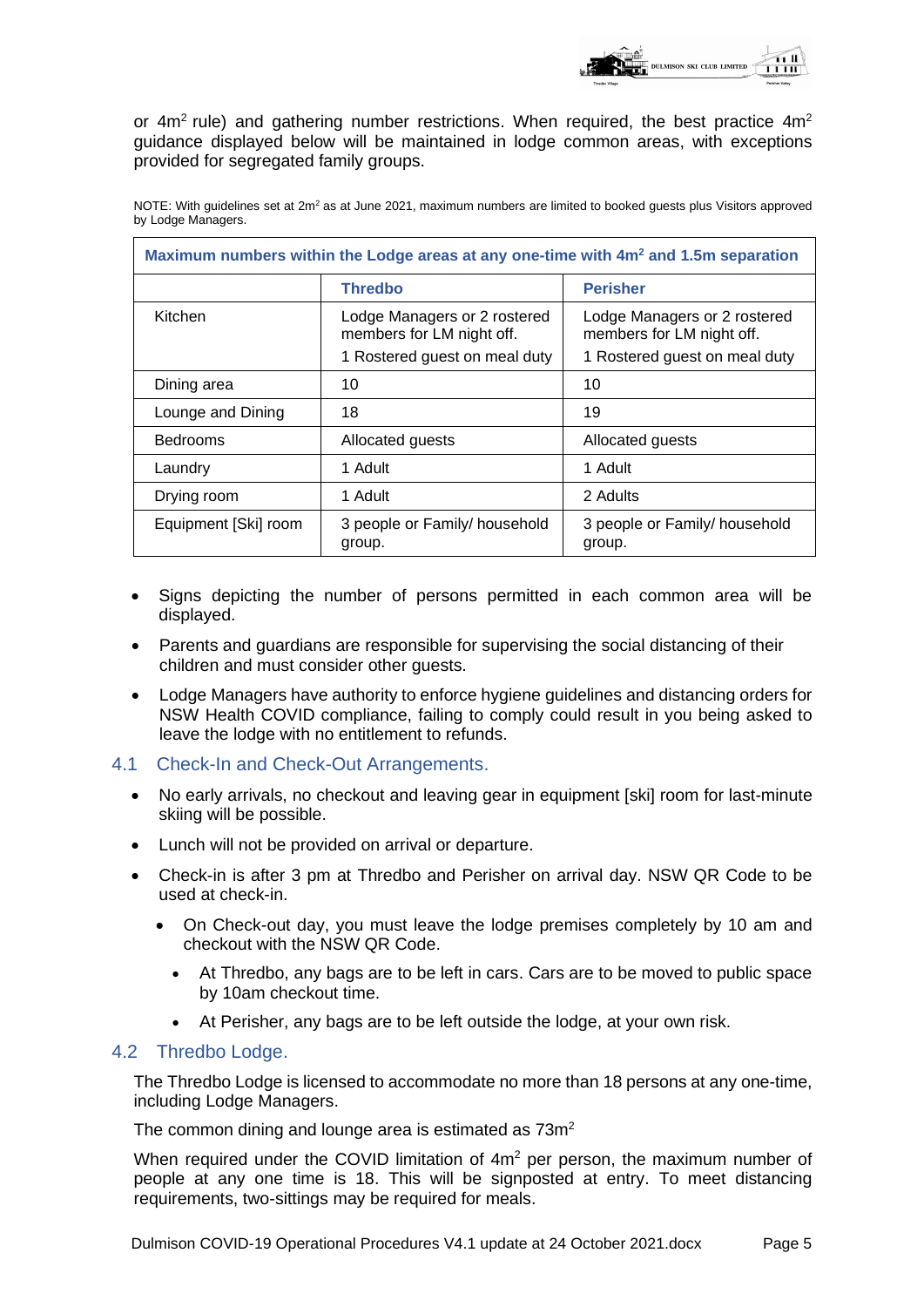

or 4 $m<sup>2</sup>$  rule) and gathering number restrictions. When required, the best practice 4 $m<sup>2</sup>$ guidance displayed below will be maintained in lodge common areas, with exceptions provided for segregated family groups.

| Maximum numbers within the Lodge areas at any one-time with 4m <sup>2</sup> and 1.5m separation |                                                                                            |                                                                                            |  |  |  |  |  |
|-------------------------------------------------------------------------------------------------|--------------------------------------------------------------------------------------------|--------------------------------------------------------------------------------------------|--|--|--|--|--|
|                                                                                                 | <b>Thredbo</b>                                                                             | <b>Perisher</b>                                                                            |  |  |  |  |  |
| Kitchen                                                                                         | Lodge Managers or 2 rostered<br>members for LM night off.<br>1 Rostered guest on meal duty | Lodge Managers or 2 rostered<br>members for LM night off.<br>1 Rostered guest on meal duty |  |  |  |  |  |
| Dining area                                                                                     | 10                                                                                         | 10                                                                                         |  |  |  |  |  |
| Lounge and Dining                                                                               | 18                                                                                         | 19                                                                                         |  |  |  |  |  |
| <b>Bedrooms</b>                                                                                 | Allocated guests                                                                           | Allocated guests                                                                           |  |  |  |  |  |
| Laundry                                                                                         | 1 Adult                                                                                    | 1 Adult                                                                                    |  |  |  |  |  |
| Drying room                                                                                     | 1 Adult                                                                                    | 2 Adults                                                                                   |  |  |  |  |  |
| Equipment [Ski] room                                                                            | 3 people or Family/ household<br>group.                                                    | 3 people or Family/ household<br>group.                                                    |  |  |  |  |  |

NOTE: With guidelines set at  $2m^2$  as at June 2021, maximum numbers are limited to booked guests plus Visitors approved by Lodge Managers.

- Signs depicting the number of persons permitted in each common area will be displayed.
- Parents and guardians are responsible for supervising the social distancing of their children and must consider other guests.
- Lodge Managers have authority to enforce hygiene guidelines and distancing orders for NSW Health COVID compliance, failing to comply could result in you being asked to leave the lodge with no entitlement to refunds.

#### 4.1 Check-In and Check-Out Arrangements.

- No early arrivals, no checkout and leaving gear in equipment [ski] room for last-minute skiing will be possible.
- Lunch will not be provided on arrival or departure.
- Check-in is after 3 pm at Thredbo and Perisher on arrival day. NSW QR Code to be used at check-in.
	- On Check-out day, you must leave the lodge premises completely by 10 am and checkout with the NSW QR Code.
		- At Thredbo, any bags are to be left in cars. Cars are to be moved to public space by 10am checkout time.
		- At Perisher, any bags are to be left outside the lodge, at your own risk.

#### 4.2 Thredbo Lodge.

The Thredbo Lodge is licensed to accommodate no more than 18 persons at any one-time, including Lodge Managers.

The common dining and lounge area is estimated as  $73m^2$ 

When required under the COVID limitation of 4m<sup>2</sup> per person, the maximum number of people at any one time is 18. This will be signposted at entry. To meet distancing requirements, two-sittings may be required for meals.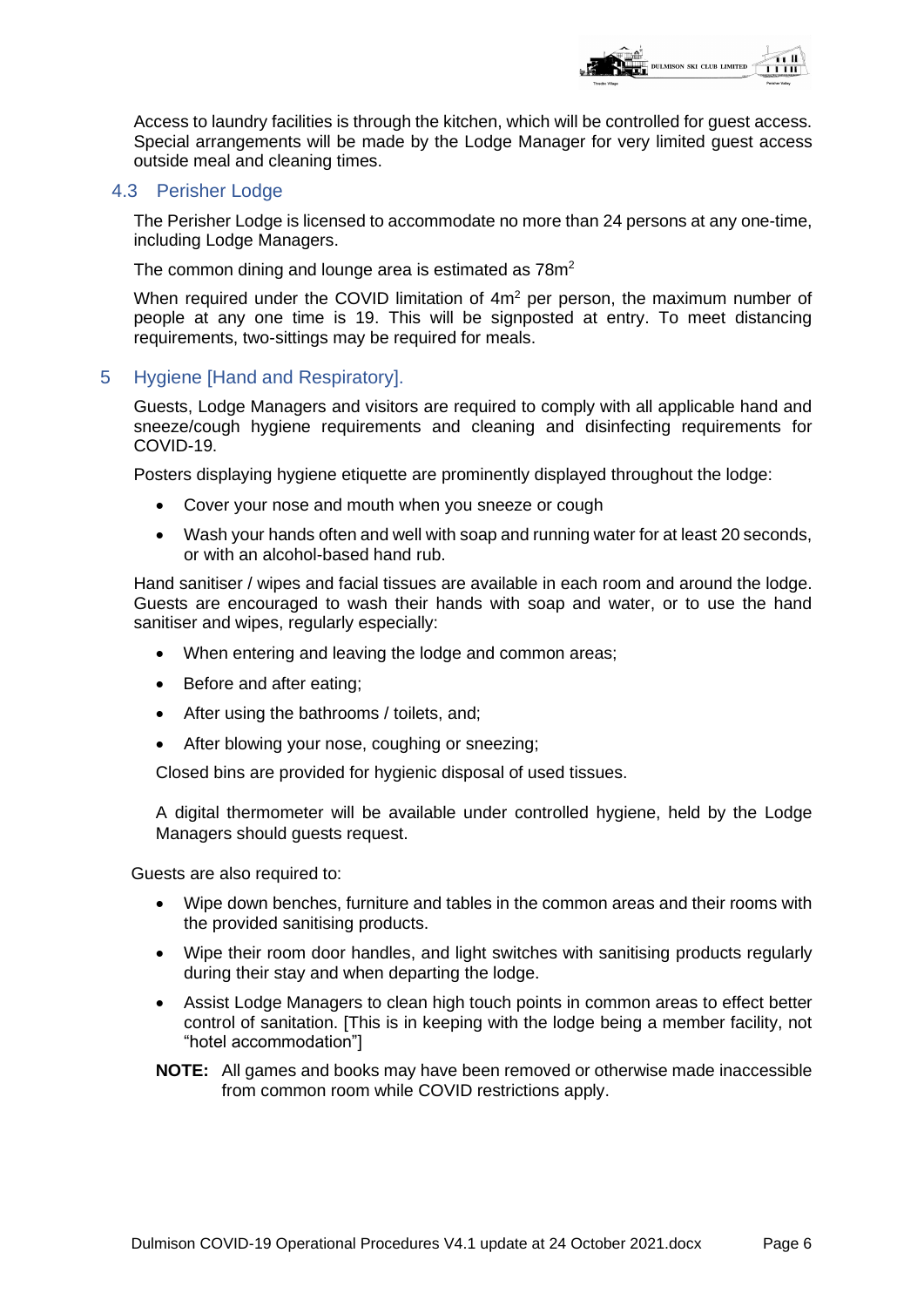

Access to laundry facilities is through the kitchen, which will be controlled for guest access. Special arrangements will be made by the Lodge Manager for very limited guest access outside meal and cleaning times.

#### 4.3 Perisher Lodge

The Perisher Lodge is licensed to accommodate no more than 24 persons at any one-time, including Lodge Managers.

The common dining and lounge area is estimated as  $78m^2$ 

When required under the COVID limitation of 4m<sup>2</sup> per person, the maximum number of people at any one time is 19. This will be signposted at entry. To meet distancing requirements, two-sittings may be required for meals.

#### 5 Hygiene [Hand and Respiratory].

Guests, Lodge Managers and visitors are required to comply with all applicable hand and sneeze/cough hygiene requirements and cleaning and disinfecting requirements for COVID-19.

Posters displaying hygiene etiquette are prominently displayed throughout the lodge:

- Cover your nose and mouth when you sneeze or cough
- Wash your hands often and well with soap and running water for at least 20 seconds, or with an alcohol-based hand rub.

Hand sanitiser / wipes and facial tissues are available in each room and around the lodge. Guests are encouraged to wash their hands with soap and water, or to use the hand sanitiser and wipes, regularly especially:

- When entering and leaving the lodge and common areas;
- Before and after eating;
- After using the bathrooms / toilets, and;
- After blowing your nose, coughing or sneezing;

Closed bins are provided for hygienic disposal of used tissues.

A digital thermometer will be available under controlled hygiene, held by the Lodge Managers should guests request.

Guests are also required to:

- Wipe down benches, furniture and tables in the common areas and their rooms with the provided sanitising products.
- Wipe their room door handles, and light switches with sanitising products regularly during their stay and when departing the lodge.
- Assist Lodge Managers to clean high touch points in common areas to effect better control of sanitation. [This is in keeping with the lodge being a member facility, not "hotel accommodation"]
- **NOTE:** All games and books may have been removed or otherwise made inaccessible from common room while COVID restrictions apply.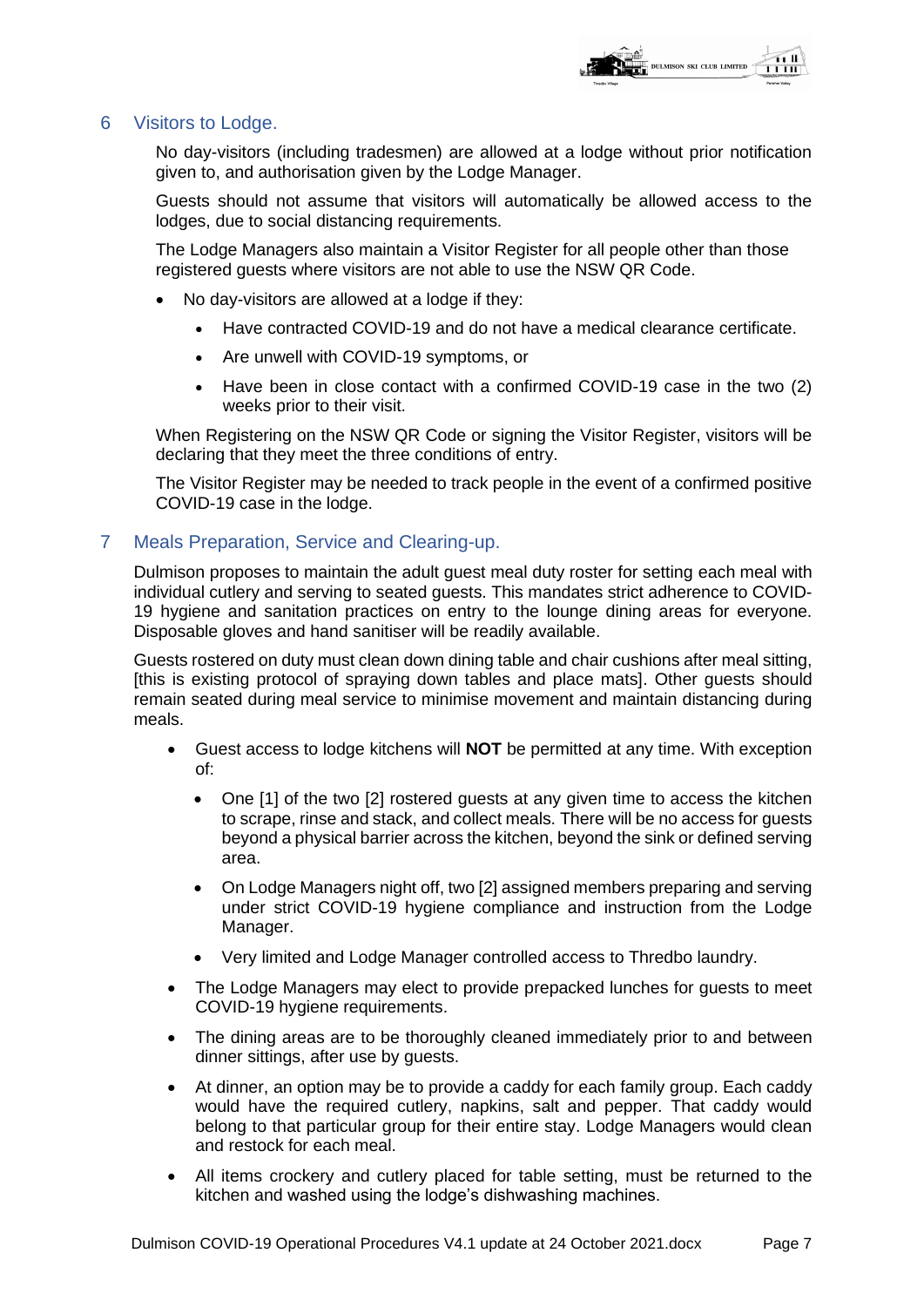

#### 6 Visitors to Lodge.

No day-visitors (including tradesmen) are allowed at a lodge without prior notification given to, and authorisation given by the Lodge Manager.

Guests should not assume that visitors will automatically be allowed access to the lodges, due to social distancing requirements.

The Lodge Managers also maintain a Visitor Register for all people other than those registered guests where visitors are not able to use the NSW QR Code.

- No day-visitors are allowed at a lodge if they:
	- Have contracted COVID-19 and do not have a medical clearance certificate.
	- Are unwell with COVID-19 symptoms, or
	- Have been in close contact with a confirmed COVID-19 case in the two (2) weeks prior to their visit.

When Registering on the NSW QR Code or signing the Visitor Register, visitors will be declaring that they meet the three conditions of entry.

The Visitor Register may be needed to track people in the event of a confirmed positive COVID-19 case in the lodge.

#### 7 Meals Preparation, Service and Clearing-up.

Dulmison proposes to maintain the adult guest meal duty roster for setting each meal with individual cutlery and serving to seated guests. This mandates strict adherence to COVID-19 hygiene and sanitation practices on entry to the lounge dining areas for everyone. Disposable gloves and hand sanitiser will be readily available.

Guests rostered on duty must clean down dining table and chair cushions after meal sitting, [this is existing protocol of spraying down tables and place mats]. Other guests should remain seated during meal service to minimise movement and maintain distancing during meals.

- Guest access to lodge kitchens will **NOT** be permitted at any time. With exception of:
	- One [1] of the two [2] rostered quests at any given time to access the kitchen to scrape, rinse and stack, and collect meals. There will be no access for guests beyond a physical barrier across the kitchen, beyond the sink or defined serving area.
	- On Lodge Managers night off, two [2] assigned members preparing and serving under strict COVID-19 hygiene compliance and instruction from the Lodge Manager.
	- Very limited and Lodge Manager controlled access to Thredbo laundry.
- The Lodge Managers may elect to provide prepacked lunches for guests to meet COVID-19 hygiene requirements.
- The dining areas are to be thoroughly cleaned immediately prior to and between dinner sittings, after use by guests.
- At dinner, an option may be to provide a caddy for each family group. Each caddy would have the required cutlery, napkins, salt and pepper. That caddy would belong to that particular group for their entire stay. Lodge Managers would clean and restock for each meal.
- All items crockery and cutlery placed for table setting, must be returned to the kitchen and washed using the lodge's dishwashing machines.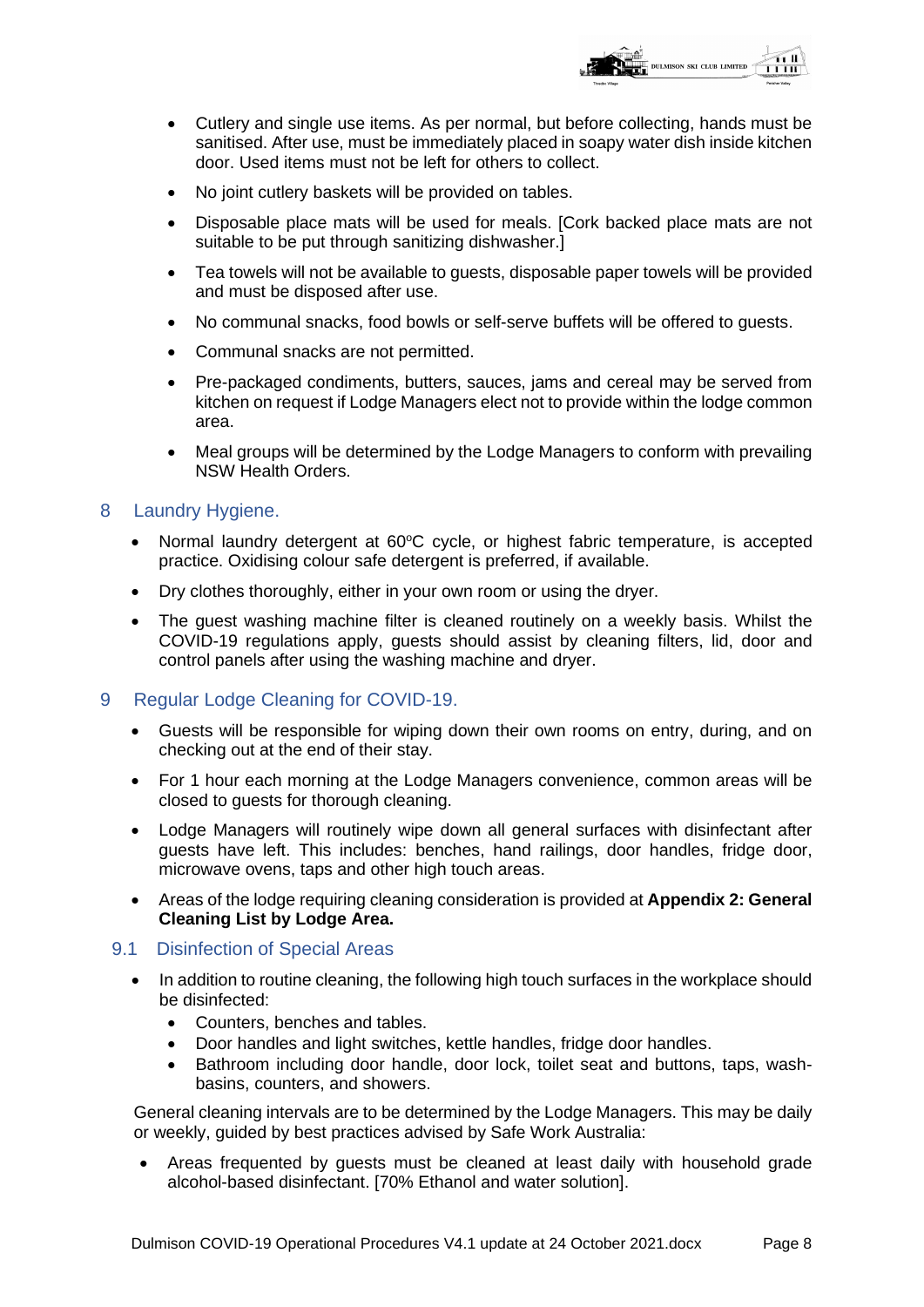

- Cutlery and single use items. As per normal, but before collecting, hands must be sanitised. After use, must be immediately placed in soapy water dish inside kitchen door. Used items must not be left for others to collect.
- No joint cutlery baskets will be provided on tables.
- Disposable place mats will be used for meals. [Cork backed place mats are not suitable to be put through sanitizing dishwasher.]
- Tea towels will not be available to guests, disposable paper towels will be provided and must be disposed after use.
- No communal snacks, food bowls or self-serve buffets will be offered to guests.
- Communal snacks are not permitted.
- Pre-packaged condiments, butters, sauces, jams and cereal may be served from kitchen on request if Lodge Managers elect not to provide within the lodge common area.
- Meal groups will be determined by the Lodge Managers to conform with prevailing NSW Health Orders.

#### 8 Laundry Hygiene.

- Normal laundry detergent at  $60^{\circ}$ C cycle, or highest fabric temperature, is accepted practice. Oxidising colour safe detergent is preferred, if available.
- Dry clothes thoroughly, either in your own room or using the dryer.
- The guest washing machine filter is cleaned routinely on a weekly basis. Whilst the COVID-19 regulations apply, guests should assist by cleaning filters, lid, door and control panels after using the washing machine and dryer.
- 9 Regular Lodge Cleaning for COVID-19.
	- Guests will be responsible for wiping down their own rooms on entry, during, and on checking out at the end of their stay.
	- For 1 hour each morning at the Lodge Managers convenience, common areas will be closed to guests for thorough cleaning.
	- Lodge Managers will routinely wipe down all general surfaces with disinfectant after guests have left. This includes: benches, hand railings, door handles, fridge door, microwave ovens, taps and other high touch areas.
	- Areas of the lodge requiring cleaning consideration is provided at **Appendix 2: General Cleaning List by Lodge Area.**

#### 9.1 Disinfection of Special Areas

- In addition to routine cleaning, the following high touch surfaces in the workplace should be disinfected:
	- Counters, benches and tables.
	- Door handles and light switches, kettle handles, fridge door handles.
	- Bathroom including door handle, door lock, toilet seat and buttons, taps, washbasins, counters, and showers.

General cleaning intervals are to be determined by the Lodge Managers. This may be daily or weekly, guided by best practices advised by Safe Work Australia:

• Areas frequented by guests must be cleaned at least daily with household grade alcohol-based disinfectant. [70% Ethanol and water solution].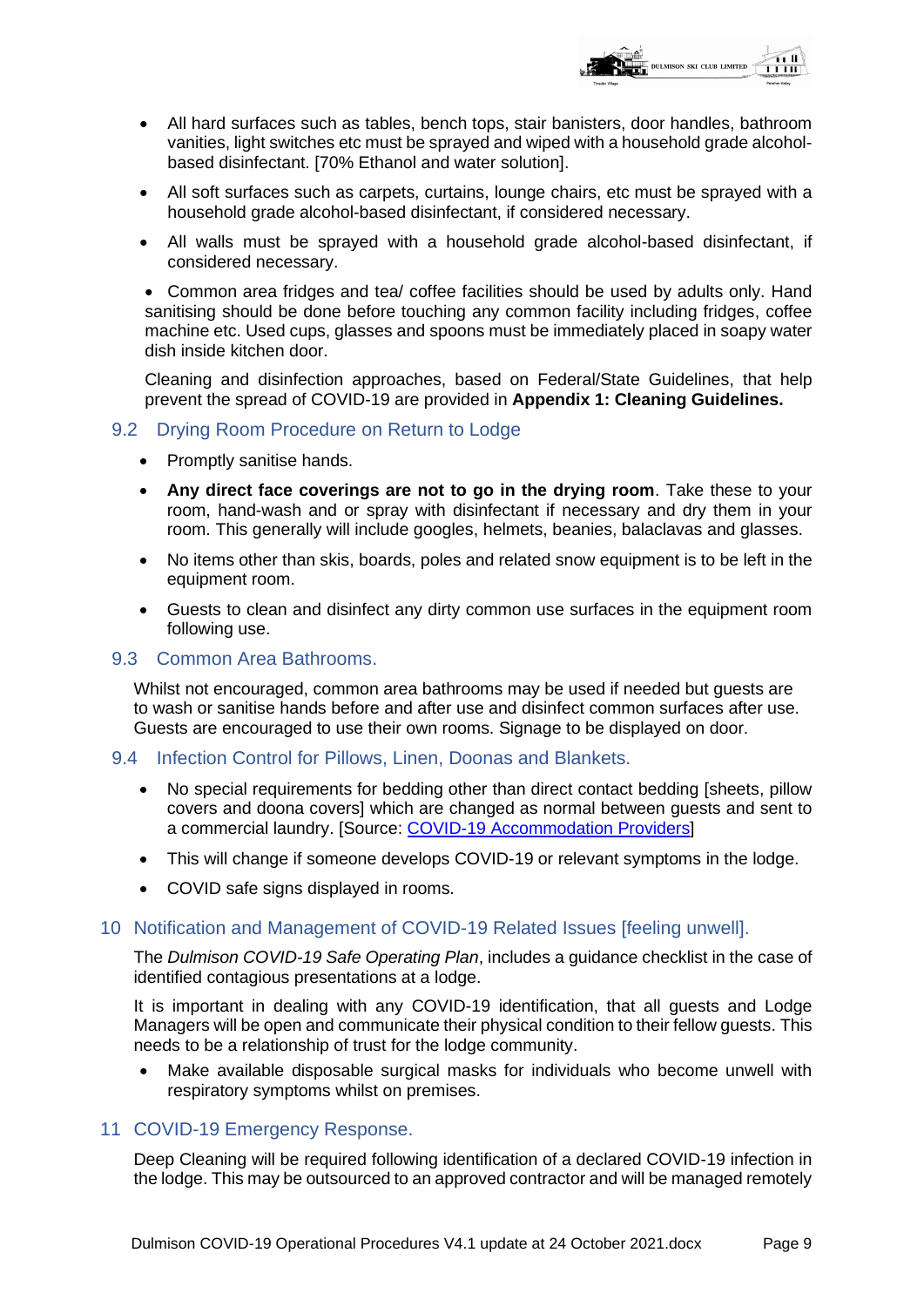

- All hard surfaces such as tables, bench tops, stair banisters, door handles, bathroom vanities, light switches etc must be sprayed and wiped with a household grade alcoholbased disinfectant. [70% Ethanol and water solution].
- All soft surfaces such as carpets, curtains, lounge chairs, etc must be sprayed with a household grade alcohol-based disinfectant, if considered necessary.
- All walls must be sprayed with a household grade alcohol-based disinfectant, if considered necessary.

• Common area fridges and tea/ coffee facilities should be used by adults only. Hand sanitising should be done before touching any common facility including fridges, coffee machine etc. Used cups, glasses and spoons must be immediately placed in soapy water dish inside kitchen door.

Cleaning and disinfection approaches, based on Federal/State Guidelines, that help prevent the spread of COVID-19 are provided in **Appendix 1: Cleaning Guidelines.**

#### 9.2 Drying Room Procedure on Return to Lodge

- Promptly sanitise hands.
- **Any direct face coverings are not to go in the drying room**. Take these to your room, hand-wash and or spray with disinfectant if necessary and dry them in your room. This generally will include googles, helmets, beanies, balaclavas and glasses.
- No items other than skis, boards, poles and related snow equipment is to be left in the equipment room.
- Guests to clean and disinfect any dirty common use surfaces in the equipment room following use.

#### 9.3 Common Area Bathrooms.

Whilst not encouraged, common area bathrooms may be used if needed but guests are to wash or sanitise hands before and after use and disinfect common surfaces after use. Guests are encouraged to use their own rooms. Signage to be displayed on door.

#### 9.4 Infection Control for Pillows, Linen, Doonas and Blankets.

- No special requirements for bedding other than direct contact bedding [sheets, pillow covers and doona covers] which are changed as normal between guests and sent to a commercial laundry. [Source: [COVID-19 Accommodation Providers\]](https://ww2.health.wa.gov.au/~/media/Files/Corporate/general%20documents/Infectious%20diseases/PDF/Coronavirus/COVID19-Accommodation-providers-that-have-guests-who-are-self-isolating-as-confirmed-cases.pdf)
- This will change if someone develops COVID-19 or relevant symptoms in the lodge.
- COVID safe signs displayed in rooms.

#### 10 Notification and Management of COVID-19 Related Issues [feeling unwell].

The *Dulmison COVID-19 Safe Operating Plan*, includes a guidance checklist in the case of identified contagious presentations at a lodge.

It is important in dealing with any COVID-19 identification, that all guests and Lodge Managers will be open and communicate their physical condition to their fellow guests. This needs to be a relationship of trust for the lodge community.

• Make available disposable surgical masks for individuals who become unwell with respiratory symptoms whilst on premises.

#### 11 COVID-19 Emergency Response.

Deep Cleaning will be required following identification of a declared COVID-19 infection in the lodge. This may be outsourced to an approved contractor and will be managed remotely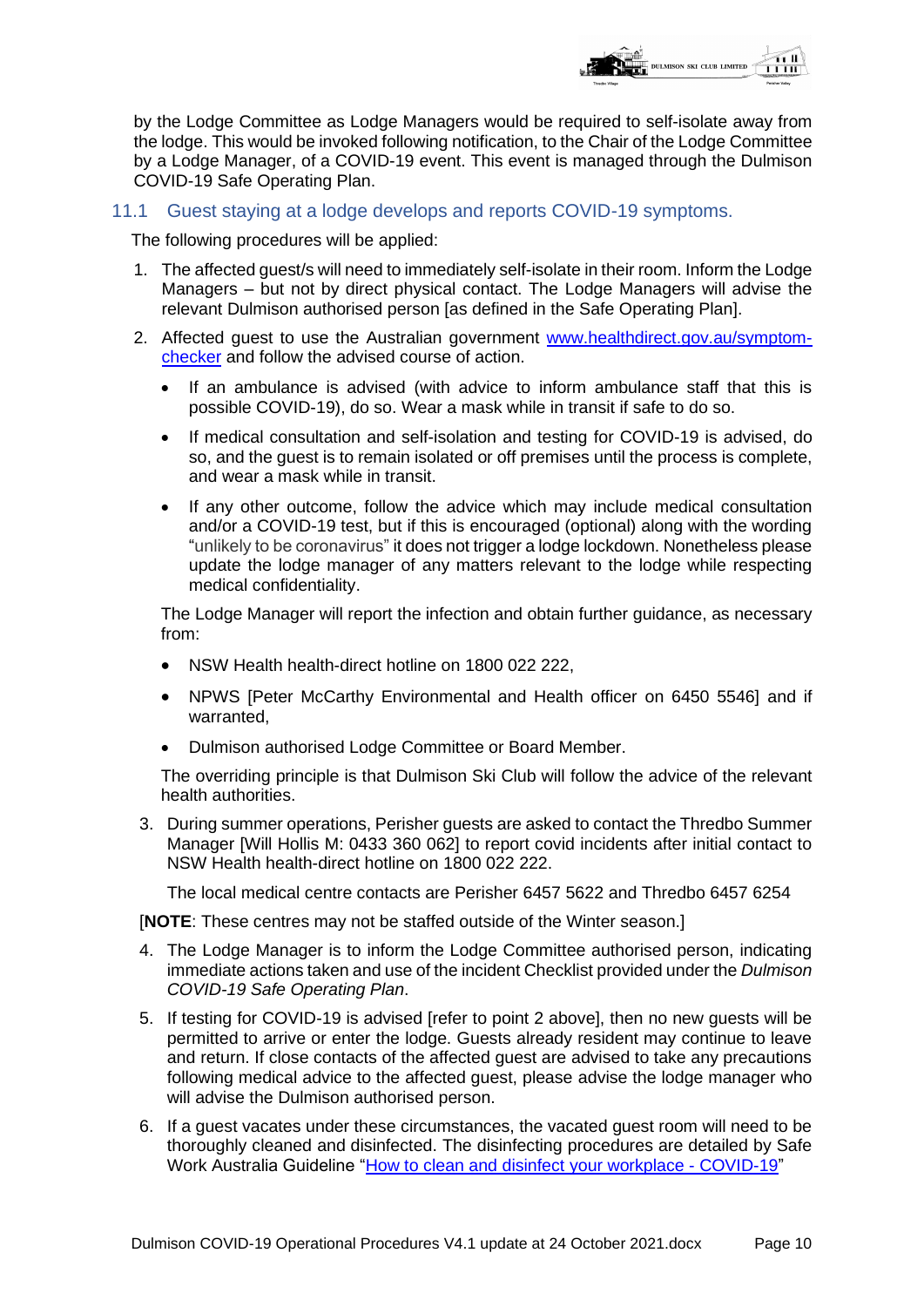

by the Lodge Committee as Lodge Managers would be required to self-isolate away from the lodge. This would be invoked following notification, to the Chair of the Lodge Committee by a Lodge Manager, of a COVID-19 event. This event is managed through the Dulmison COVID-19 Safe Operating Plan.

#### 11.1 Guest staying at a lodge develops and reports COVID-19 symptoms.

The following procedures will be applied:

- 1. The affected guest/s will need to immediately self-isolate in their room. Inform the Lodge Managers – but not by direct physical contact. The Lodge Managers will advise the relevant Dulmison authorised person [as defined in the Safe Operating Plan].
- 2. Affected guest to use the Australian government [www.healthdirect.gov.au/symptom](http://www.healthdirect.gov.au/symptom-checker)[checker](http://www.healthdirect.gov.au/symptom-checker) and follow the advised course of action.
	- If an ambulance is advised (with advice to inform ambulance staff that this is possible COVID-19), do so. Wear a mask while in transit if safe to do so.
	- If medical consultation and self-isolation and testing for COVID-19 is advised, do so, and the guest is to remain isolated or off premises until the process is complete, and wear a mask while in transit.
	- If any other outcome, follow the advice which may include medical consultation and/or a COVID-19 test, but if this is encouraged (optional) along with the wording "unlikely to be coronavirus" it does not trigger a lodge lockdown. Nonetheless please update the lodge manager of any matters relevant to the lodge while respecting medical confidentiality.

The Lodge Manager will report the infection and obtain further guidance, as necessary from:

- NSW Health health-direct hotline on 1800 022 222,
- NPWS [Peter McCarthy Environmental and Health officer on 6450 5546] and if warranted,
- Dulmison authorised Lodge Committee or Board Member.

The overriding principle is that Dulmison Ski Club will follow the advice of the relevant health authorities.

3. During summer operations, Perisher guests are asked to contact the Thredbo Summer Manager [Will Hollis M: 0433 360 062] to report covid incidents after initial contact to NSW Health health-direct hotline on 1800 022 222.

The local medical centre contacts are Perisher 6457 5622 and Thredbo 6457 6254

[**NOTE**: These centres may not be staffed outside of the Winter season.]

- 4. The Lodge Manager is to inform the Lodge Committee authorised person, indicating immediate actions taken and use of the incident Checklist provided under the *Dulmison COVID-19 Safe Operating Plan*.
- 5. If testing for COVID-19 is advised [refer to point 2 above], then no new guests will be permitted to arrive or enter the lodge. Guests already resident may continue to leave and return. If close contacts of the affected guest are advised to take any precautions following medical advice to the affected guest, please advise the lodge manager who will advise the Dulmison authorised person.
- 6. If a guest vacates under these circumstances, the vacated guest room will need to be thoroughly cleaned and disinfected. The disinfecting procedures are detailed by Safe Work Australia Guideline ["How to clean and disinfect your workplace -](https://www.safeworkaustralia.gov.au/doc/how-clean-and-disinfect-your-workplace-covid-19?tab=All) COVID-19"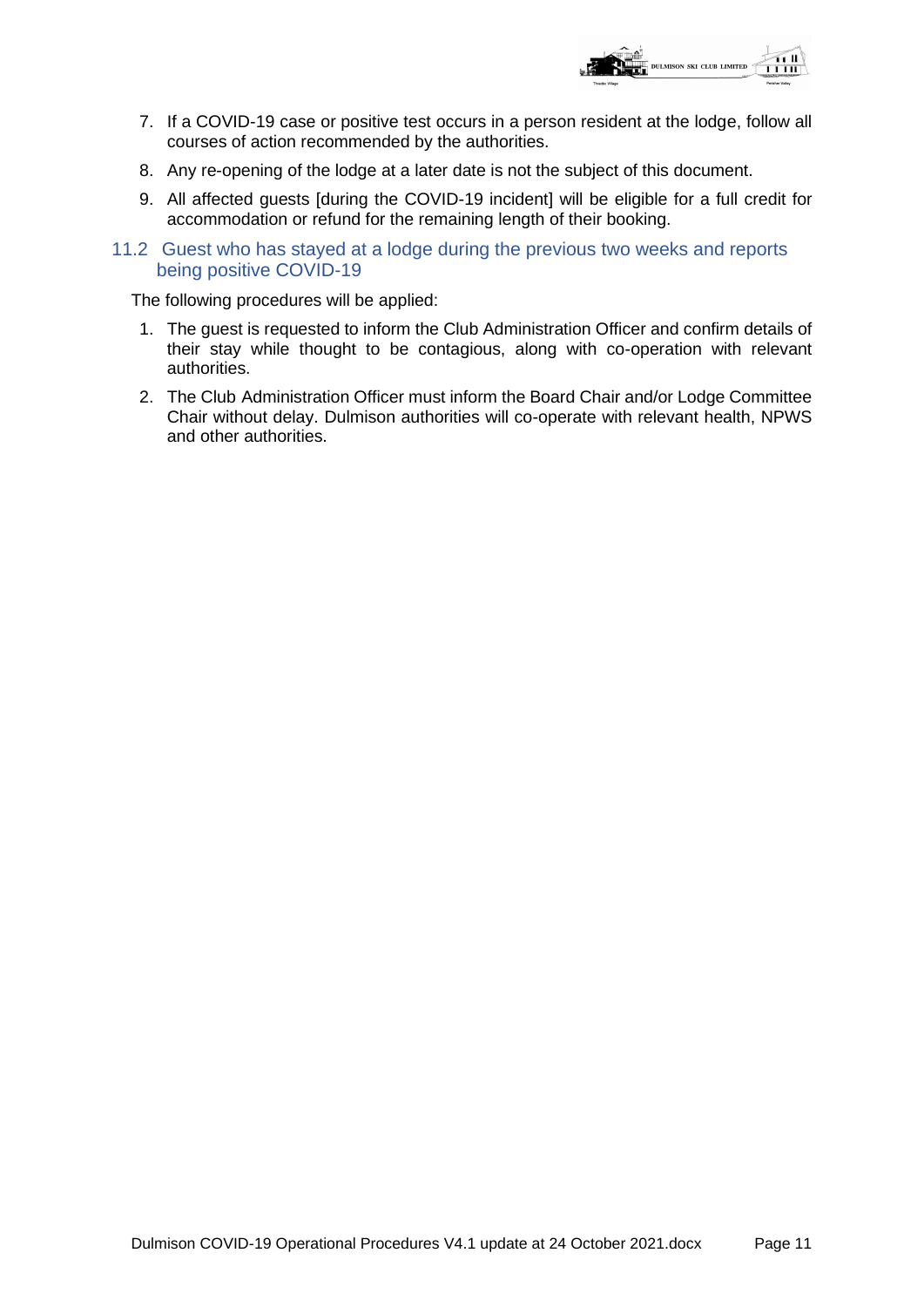

- 7. If a COVID-19 case or positive test occurs in a person resident at the lodge, follow all courses of action recommended by the authorities.
- 8. Any re-opening of the lodge at a later date is not the subject of this document.
- 9. All affected guests [during the COVID-19 incident] will be eligible for a full credit for accommodation or refund for the remaining length of their booking.
- 11.2 Guest who has stayed at a lodge during the previous two weeks and reports being positive COVID-19

The following procedures will be applied:

- 1. The guest is requested to inform the Club Administration Officer and confirm details of their stay while thought to be contagious, along with co-operation with relevant authorities.
- 2. The Club Administration Officer must inform the Board Chair and/or Lodge Committee Chair without delay. Dulmison authorities will co-operate with relevant health, NPWS and other authorities.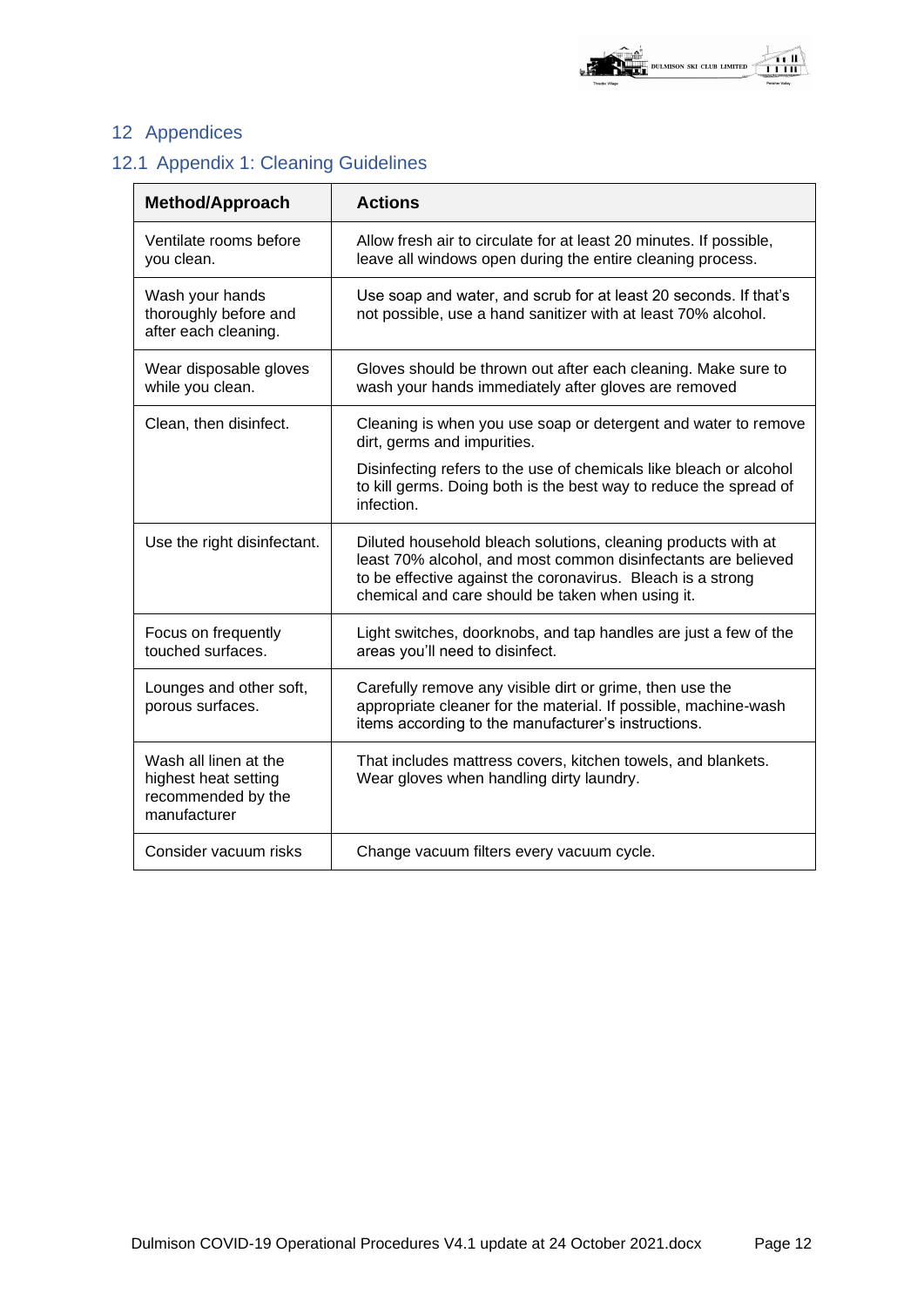## 12 Appendices

## 12.1 Appendix 1: Cleaning Guidelines

| <b>Method/Approach</b>                                                              | <b>Actions</b>                                                                                                                                                                                                                                    |  |  |
|-------------------------------------------------------------------------------------|---------------------------------------------------------------------------------------------------------------------------------------------------------------------------------------------------------------------------------------------------|--|--|
| Ventilate rooms before<br>you clean.                                                | Allow fresh air to circulate for at least 20 minutes. If possible,<br>leave all windows open during the entire cleaning process.                                                                                                                  |  |  |
| Wash your hands<br>thoroughly before and<br>after each cleaning.                    | Use soap and water, and scrub for at least 20 seconds. If that's<br>not possible, use a hand sanitizer with at least 70% alcohol.                                                                                                                 |  |  |
| Wear disposable gloves<br>while you clean.                                          | Gloves should be thrown out after each cleaning. Make sure to<br>wash your hands immediately after gloves are removed                                                                                                                             |  |  |
| Clean, then disinfect.                                                              | Cleaning is when you use soap or detergent and water to remove<br>dirt, germs and impurities.                                                                                                                                                     |  |  |
|                                                                                     | Disinfecting refers to the use of chemicals like bleach or alcohol<br>to kill germs. Doing both is the best way to reduce the spread of<br>infection.                                                                                             |  |  |
| Use the right disinfectant.                                                         | Diluted household bleach solutions, cleaning products with at<br>least 70% alcohol, and most common disinfectants are believed<br>to be effective against the coronavirus. Bleach is a strong<br>chemical and care should be taken when using it. |  |  |
| Focus on frequently<br>touched surfaces.                                            | Light switches, doorknobs, and tap handles are just a few of the<br>areas you'll need to disinfect.                                                                                                                                               |  |  |
| Lounges and other soft,<br>porous surfaces.                                         | Carefully remove any visible dirt or grime, then use the<br>appropriate cleaner for the material. If possible, machine-wash<br>items according to the manufacturer's instructions.                                                                |  |  |
| Wash all linen at the<br>highest heat setting<br>recommended by the<br>manufacturer | That includes mattress covers, kitchen towels, and blankets.<br>Wear gloves when handling dirty laundry.                                                                                                                                          |  |  |
| Consider vacuum risks                                                               | Change vacuum filters every vacuum cycle.                                                                                                                                                                                                         |  |  |

**DENTIFY OF STRATE**<br>**EXECUTE:** DULMISON SKI CLUB LIMITED